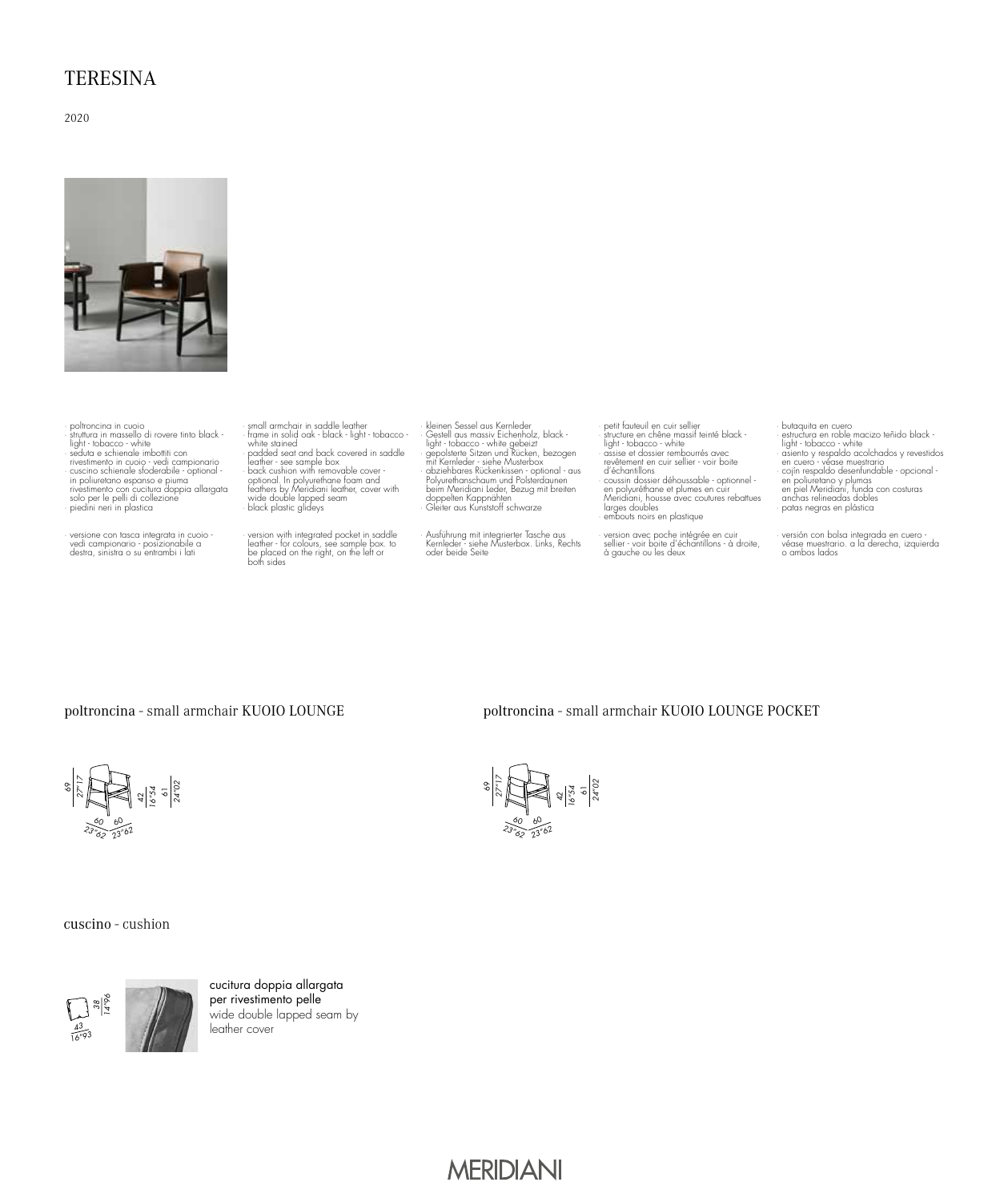## **TERESINA**

2020



· poltroncina in cuoio · struttura in massello di rovere tinto black - light - tobacco - white · seduta e schienale imbottiti con rivestimento in cuoio - vedi campionario<br>· cuscino schienale sfoderabile - optional -<br>in poliuretano espanso e piuma<br>rivestimento con cucitura doppia allargata<br>· solo per le pelli di collezione<br>· piedini neri in plastica

· versione con tasca integrata in cuoio - vedi campionario - posizionabile a destra, sinistra o su entrambi i lati

small ammchair in saddle leather<br>
small ammchair is saddle beacht<br>
product small and back covered in saddle<br>
padder seat and back covered in saddle<br>
beacht custom with removable cover<br>
back custom with removable cover<br>
fea

· version with integrated pocket in saddle leather - for colours, see sample box. to be placed on the right, on the left or both sides

· kleinen Sessel aus Kernleder<br>Cestell aus masiv Eichenholz, black -<br>Gestell aus masiv Eichenholz, black -<br>light - tobacco - white gebeizt<br>mit Kernleder - siehe Musterbox<br>- mit Kernleder - siehe Musterbox<br>- bbywienhanschau doppelten Kappnähten · Gleiter aus Kunststoff schwarze

· Ausführung mit integrierter Tasche aus Kernleder - siehe Musterbox. Links, Rechts oder beide Seite

· petit fauteuil en cuir sellier · structure en chêne massif teinté black - light - tobacco - white · assise et dossier rembourrés avec revêtement en cuir sellier - voir boite d'échantillons<br>• coussin dossier déhoussable - optionnel -<br>en polyuréthane et plumes en cuir<br>larges doubles<br>larges doubles<br>• embouts noirs en plastique<br>• embouts noirs en plastique

· version avec poche intégrée en cuir sellier - voir boite d'échantillons - à droite, à gauche ou les deux

· butaquita en cuero · estructura en roble macizo teñido black - light - tobacco - white · asiento y respaldo acolchados y revestidos en cuero - véase muestrario<br>· cojín respaldo desenfundable - opcional -<br>en poliuretano y plumas<br>en piel Meridiani, funda con costuras<br>anchas relineadas dobles patas negras en plástica

· versión con bolsa integrada en cuero - véase muestrario. a la derecha, izquierda o ambos lados

#### poltroncina - small armchair KUOIO LOUNGE

#### poltroncina - small armchair KUOIO LOUNGE POCKET





cuscino - cushion



cucitura doppia allargata per rivestimento pelle wide double lapped seam by leather cover

# **MERIDIANI**